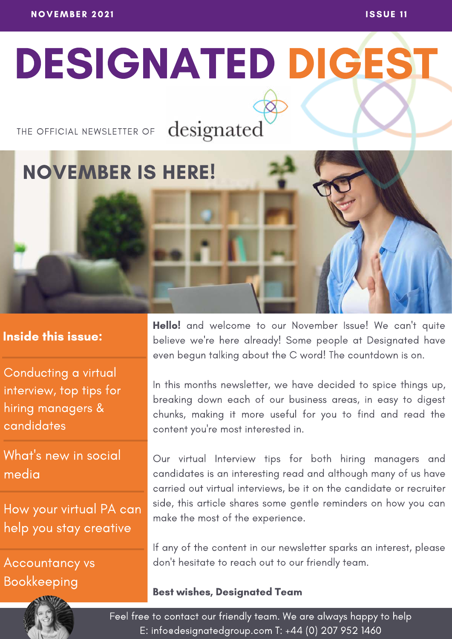# DESIGNATED DIGEST

### THE OFFICIAL NEWSLETTER OF

designated

# NOVEMBER IS HERE!

### Inside this issue:

Conducting a virtual interview, top tips for hiring managers & candidates

What's new in social media

How your virtual PA can help you stay creative

Accountancy vs Bookkeeping



In this months newsletter, we have decided to spice things up, breaking down each of our business areas, in easy to digest chunks, making it more useful for you to find and read the content you're most interested in.

Our virtual Interview tips for both hiring managers and candidates is an interesting read and although many of us have carried out virtual interviews, be it on the candidate or recruiter side, this article shares some gentle reminders on how you can make the most of the experience.

If any of the content in our newsletter sparks an interest, please don't hesitate to reach out to our friendly team.

#### Best wishes, Designated Team

Feel free to contact our friendly team. We are always happy to help E: info@designatedgroup.com T: +44 (0) 207 952 1460

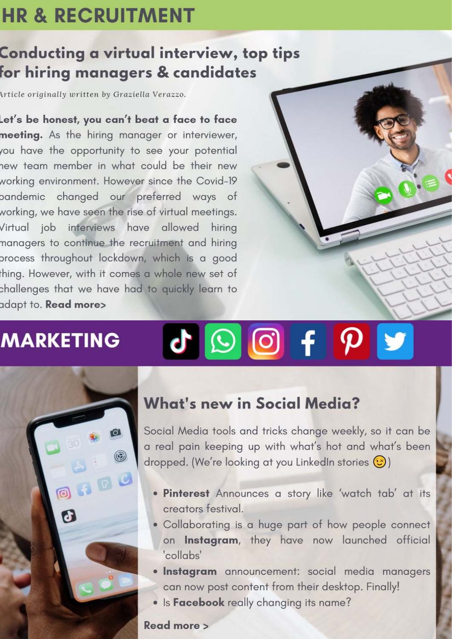# **HR & RECRUITMENT**

## Conducting a virtual interview, top tips for hiring managers & candidates

Article originally written by Graziella Verazzo.

Let's be honest, you can't beat a face to face meeting. As the hiring manager or interviewer, you have the opportunity to see your potential new team member in what could be their new working environment. However since the Covid-19 pandemic changed our preferred ways of working, we have seen the rise of virtual meetings. Virtual job interviews have allowed hiring managers to continue the recruitment and hiring process throughout lockdown, which is a good thing. However, with it comes a whole new set of challenges that we have had to quickly learn to adapt to. Read more>

## **MARKETING**



# J O O F P

### **What's new in Social Media?**

Social Media tools and tricks change weekly, so it can be a real pain keeping up with what's hot and what's been dropped. (We're looking at you LinkedIn stories  $\circled{c}$ )

- . Pinterest Announces a story like 'watch tab' at its creators festival.
- . Collaborating is a huge part of how people connect on Instagram, they have now launched official 'collabs'
- · Instagram announcement: social media managers can now post content from their desktop. Finally!
- Is Facebook really changing its name?

#### Read more >